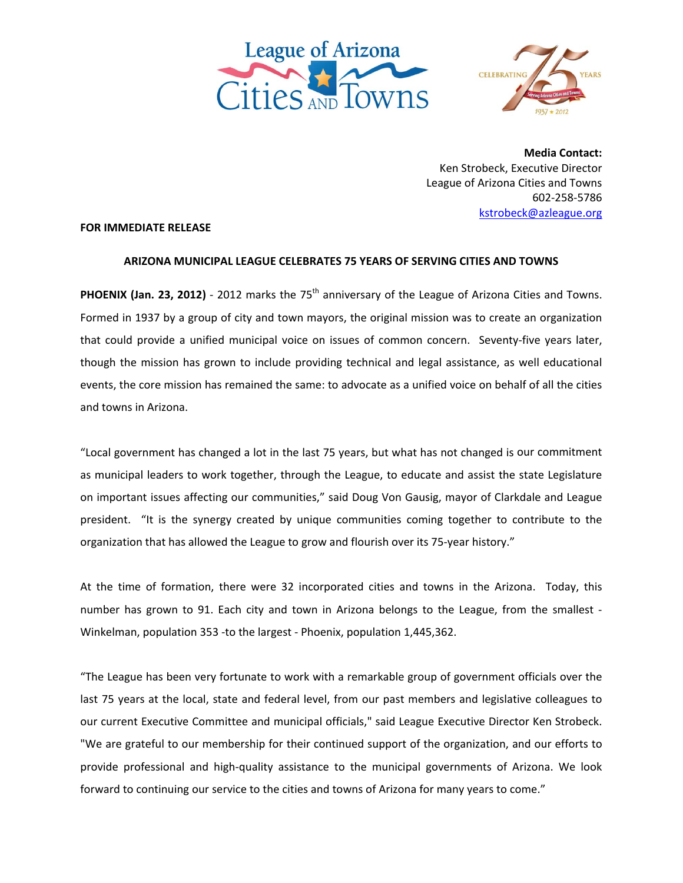



**Media Contact:** Ken Strobeck, Executive Director League of Arizona Cities and Towns 602‐258‐5786 kstrobeck@azleague.org

## **FOR IMMEDIATE RELEASE**

## **ARIZONA MUNICIPAL LEAGUE CELEBRATES 75 YEARS OF SERVING CITIES AND TOWNS**

**PHOENIX (Jan. 23, 2012)** - 2012 marks the 75<sup>th</sup> anniversary of the League of Arizona Cities and Towns. Formed in 1937 by a group of city and town mayors, the original mission was to create an organization that could provide a unified municipal voice on issues of common concern. Seventy-five years later, though the mission has grown to include providing technical and legal assistance, as well educational events, the core mission has remained the same: to advocate as a unified voice on behalf of all the cities and towns in Arizona.

"Local government has changed a lot in the last 75 years, but what has not changed is our commitment as municipal leaders to work together, through the League, to educate and assist the state Legislature on important issues affecting our communities," said Doug Von Gausig, mayor of Clarkdale and League president. "It is the synergy created by unique communities coming together to contribute to the organization that has allowed the League to grow and flourish over its 75‐year history."

At the time of formation, there were 32 incorporated cities and towns in the Arizona. Today, this number has grown to 91. Each city and town in Arizona belongs to the League, from the smallest ‐ Winkelman, population 353 ‐to the largest ‐ Phoenix, population 1,445,362.

"The League has been very fortunate to work with a remarkable group of government officials over the last 75 years at the local, state and federal level, from our past members and legislative colleagues to our current Executive Committee and municipal officials," said League Executive Director Ken Strobeck. "We are grateful to our membership for their continued support of the organization, and our efforts to provide professional and high‐quality assistance to the municipal governments of Arizona. We look forward to continuing our service to the cities and towns of Arizona for many years to come."